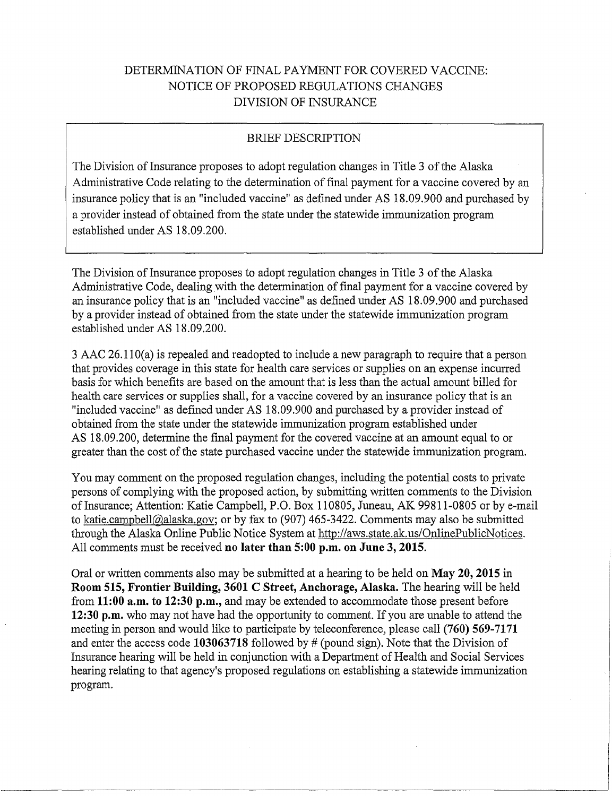# DETERMINATION OF FINAL PAYMENT FOR COVERED VACCINE: NOTICE OF PROPOSED REGULATIONS CHANGES DIVISION OF INSURANCE

### BRIEF DESCRIPTION

The Division of Insurance proposes to adopt regulation changes in Title 3 of the Alaska Administrative Code relating to the determination of final payment for a vaccine covered by an insurance policy that is an "included vaccine" as defined under AS 18.09.900 and purchased by a provider instead of obtained from the state under the statewide immunization program established under AS 18.09.200.

The Division of Insurance proposes to adopt regulation changes in Title 3 of the Alaska Administrative Code, dealing with the determination of final payment for a vaccine covered by an insurance policy that is an "included vaccine" as defined under AS 18.09.900 and purchased by a provider instead of obtained from the state under the statewide immunization program established under AS 18.09.200.

3 AAC 26.110(a) is repealed and readopted to include a new paragraph to require that a person that provides coverage in this state for health care services or supplies on an expense incurred basis for which benefits are based on the amount that is less than the actual amount billed for health care services or supplies shall, for a vaccine covered by an insurance policy that is an "included vaccine" as defined under AS 18.09.900 and purchased by a provider instead of obtained from the state under the statewide immunization program established under AS 18.09.200, determine the final payment for the covered vaccine at an amount equal to or greater than the cost of the state purchased vaccine under the statewide immunization program.

You may comment on the proposed regulation changes, including the potential costs to private persons of complying with the proposed action, by submitting written comments to the Division of Insurance; Attention: Katie Campbell, P.O. Box 110805, Juneau, AK 99811-0805 or by e-mail to katie.campbell@alaska.gov; or by fax to (907) 465-3422. Comments may also be submitted through the Alaska Online Public Notice System at http://aws.state.ak.us/OnlinePublicNotices. All comments must be received **no later than 5:00 p.m. on June 3, 2015.** 

Oral or written comments also may be submitted at a hearing to be held on **May 20, 2015** in **Room 515, Frontier Building, 3601 C Street, Anchorage, Alaska.** The hearing will be held from **11:00 a.m. to 12:30 p.m.,** and may be extended to accommodate those present before **12:30 p.m.** who may not have had the opportunity to comment. If you are unable to attend the meeting in person and would like to participate by teleconference, please call **(760) 569-7171**  and enter the access code 103063718 followed by # (pound sign). Note that the Division of Insurance hearing will be held in conjunction with a Department of Health and Social Services hearing relating to that agency's proposed regulations on establishing a statewide immunization program.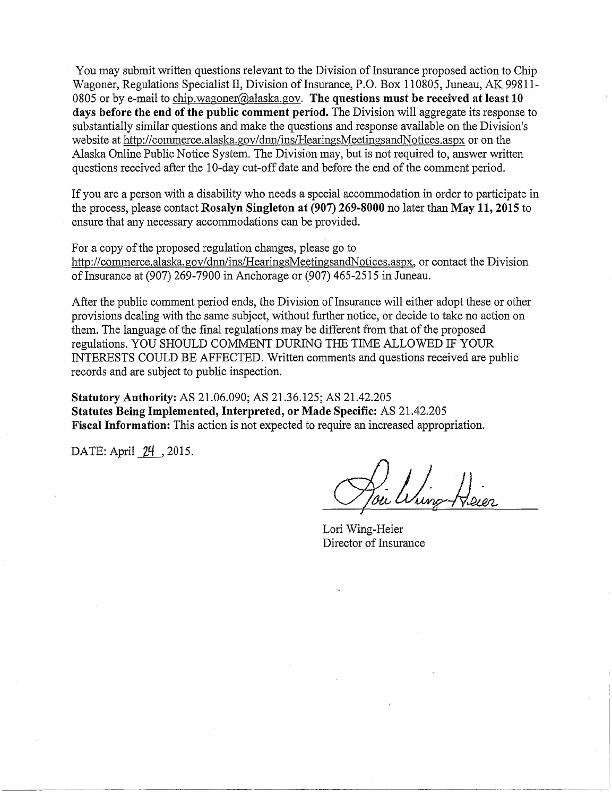You may submit written questions relevant to the Division of Insurance proposed action to Chip Wagoner, Regulations Specialist II, Division of Insurance, P.O. Box 110805, Juneau, AK 99811-0805 or by e-mail to chip.wagoner@alaska.gov. **The questions must be received at least 10 days before the end of the public comment period.** The Division will aggregate its response to substantially similar questions and make the questions and response available on the Division's website at http://commerce.alaska.gov/dnn/ins/HearingsMeetingsandNotices.aspx or on the Alaska Online Public Notice System. The Division may, but is not required to, answer written questions received after the 10-day cut-off date and before the end of the comment period.

If you are a person with a disability who needs a special accommodation in order to participate in the process, please contact **Rosalyn Singleton at (907) 269-8000** no later than **May 11, 2015** to ensure that any necessary accommodations can be provided.

For a copy of the proposed regulation changes, please go to http://commerce.alaska.gov/dnn/ins/HearingsMeetingsandNotices.aspx, or contact the Division of Insurance at (907) 269-7900 in Anchorage or (907) 465-2515 in Juneau.

After the public comment period ends, the Division of Insurance will either adopt these or other provisions dealing with the same subject, without further notice, or decide to take no action on them. The language of the final regulations may be different from that of the proposed regulations. YOU SHOULD COMMENT DURING THE TIME ALLOWED IF YOUR INTERESTS COULD BE AFFECTED. Written comments and questions received are public records and are subject to public inspection.

**Statutory Authority:** AS 21.06.090; AS 21.36.125; AS 21.42.205 **Statutes Being Implemented, Interpreted, or Made Specific:** AS 21.42.205 **Fiscal Information:** This action is not expected to require an increased appropriation.

DATE: April 24 \_, 2015.

Lori Wing-Heier Director of Insurance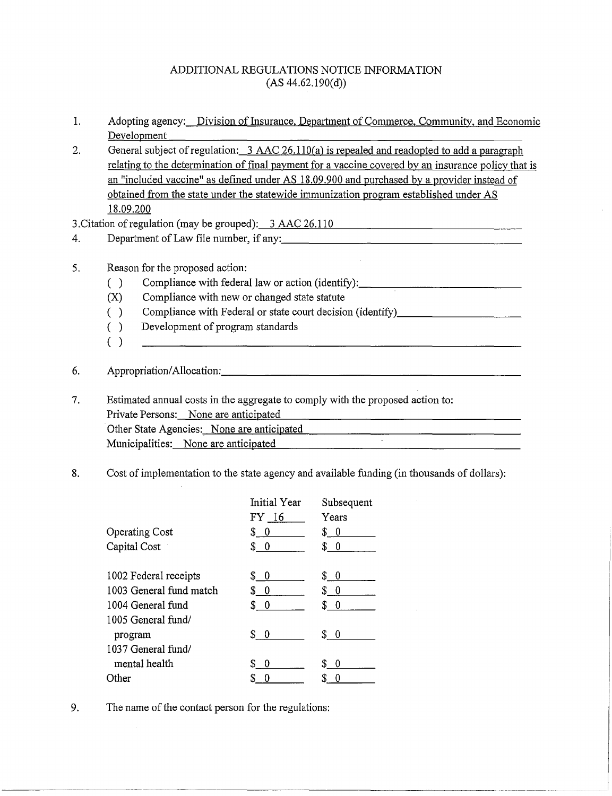#### ADDITIONAL REGULATIONS NOTICE INFORMATION  $(AS 44.62.190(d))$

1. Adopting agency: Division of Insurance, Department of Commerce, Community, and Economic Development

2. General subject of regulation:  $3$  AAC 26.110(a) is repealed and readopted to add a paragraph relating to the determination of final payment for a vaccine covered by an insurance policy that is an "included vaccine" as defined under AS 18.09.900 and purchased by a provider instead of obtained from the state under the statewide immunization program established under AS 18.09.200

<u> 1980 - John Stone, amerikansk politiker (\* 1900)</u>

3. Citation of regulation (may be grouped):  $3~AAC~26.110$ 

4. Department of Law file number, if any:

#### 5. Reason for the proposed action:

- () Compliance with federal law or action (identify):  $\Box$
- (X) Compliance with new or changed state statute
- () Compliance with Federal or state court decision (identify)
- ( ) Development of program standards
- ( )

## 6. Appropriation/Allocation: 2008. Appropriation/Allocation:

7. Estimated annual costs in the aggregate to comply with the proposed action to: Private Persons: None are anticipated Other State Agencies: None are anticipated Municipalities: None are anticipated

#### 8. Cost of implementation to the state agency and available funding (in thousands of dollars):

|                         | Initial Year | Subsequent                      |
|-------------------------|--------------|---------------------------------|
|                         | FY 16        | Years                           |
| <b>Operating Cost</b>   | \$0          | \$ 0                            |
| Capital Cost            | \$0          | $\frac{1}{2}$                   |
|                         |              |                                 |
| 1002 Federal receipts   | \$0          | \$0                             |
| 1003 General fund match | \$0          | $\begin{matrix} 0 \end{matrix}$ |
| 1004 General fund       | \$0          | \$0                             |
| 1005 General fund/      |              |                                 |
| program                 | \$0          | \$0                             |
| 1037 General fund/      |              |                                 |
| mental health           | S<br>- 0     | \$0                             |
| Other                   |              |                                 |

9. The name of the contact person for the regulations: